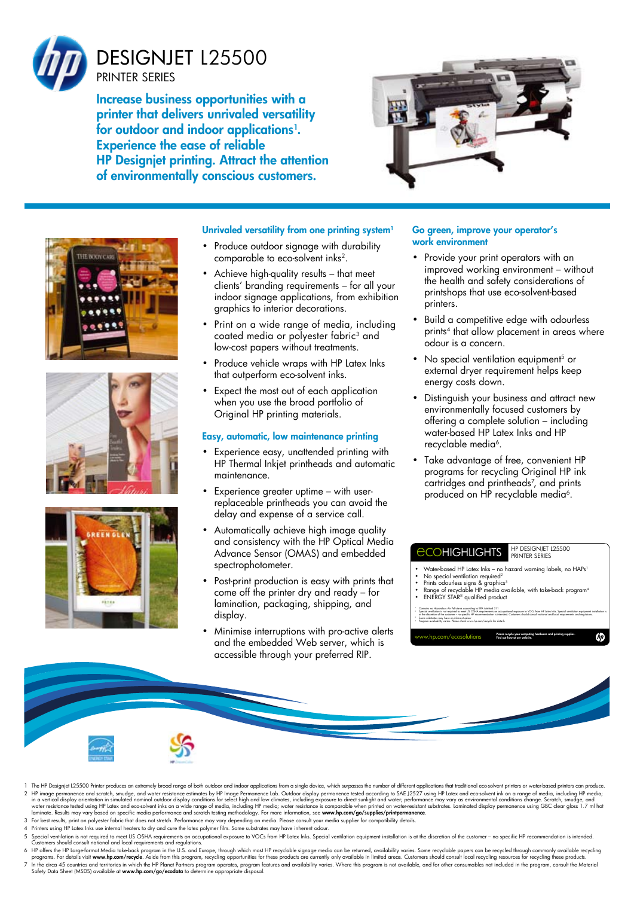

Increase business opportunities with a printer that delivers unrivaled versatility for outdoor and indoor applications $^{\rm l}$ . Experience the ease of reliable HP Designjet printing. Attract the attention of environmentally conscious customers.









#### Unrivaled versatility from one printing system<sup>1</sup>

- Produce outdoor signage with durability comparable to eco-solvent inks2.
- Achieve high-quality results that meet clients' branding requirements – for all your indoor signage applications, from exhibition graphics to interior decorations.
- Print on a wide range of media, including coated media or polyester fabric<sup>3</sup> and low-cost papers without treatments.
- Produce vehicle wraps with HP Latex Inks that outperform eco-solvent inks.
- Expect the most out of each application when you use the broad portfolio of Original HP printing materials.

#### Easy, automatic, low maintenance printing

- Experience easy, unattended printing with HP Thermal Inkjet printheads and automatic maintenance.
- Experience greater uptime with userreplaceable printheads you can avoid the delay and expense of a service call.
- • Automatically achieve high image quality and consistency with the HP Optical Media Advance Sensor (OMAS) and embedded spectrophotometer.
- • Post-print production is easy with prints that come off the printer dry and ready – for lamination, packaging, shipping, and display.
- Minimise interruptions with pro-active alerts and the embedded Web server, which is accessible through your preferred RIP.

#### Go green, improve your operator's work environment

- • Provide your print operators with an improved working environment – without the health and safety considerations of printshops that use eco-solvent-based printers.
- Build a competitive edge with odourless prints<sup>4</sup> that allow placement in areas where odour is a concern.
- No special ventilation equipment<sup>5</sup> or external dryer requirement helps keep energy costs down.
- • Distinguish your business and attract new environmentally focused customers by offering a complete solution – including water-based HP Latex Inks and HP recyclable media<sup>6</sup>.
- • Take advantage of free, convenient HP programs for recycling Original HP ink cartridges and printheads<sup>7</sup> , and prints produced on HP recyclable media<sup>6</sup>.





- 1 The HP Designiet L25500 Printer produces an extremely broad range of both outdoor and indoor applications from a single device, which surpasses the number of different applications that traditional eco-solvent printers o 2 HP image permanence and scratch, smudge, and water resistance estimates by HP Image Permanence lab. Outdoor display permanence tested according to SAE J2527 using HP latex and eco-solvent ink on a range of media, includi
- 3 For best results, print on polyester fabric that does not stretch. Performance may vary depending on media. Please consult your media supplier for compatibility details.<br>4 Printers using HP Latex Inks use internal heater
- 
- 5 Special ventilation is not required to meet US OSHA requirements on occupational exposure to VOCs from HP Latex Inks. Special ventilation equipment installation is at the discretion of the customer no specific HP recom
- 6 HP offers the HP Large-format Media take-back program in the U.S. and Europe, through which most HP recycloble signage media can be returned, availability varies. Some recyclable papers can be recycled through commonly a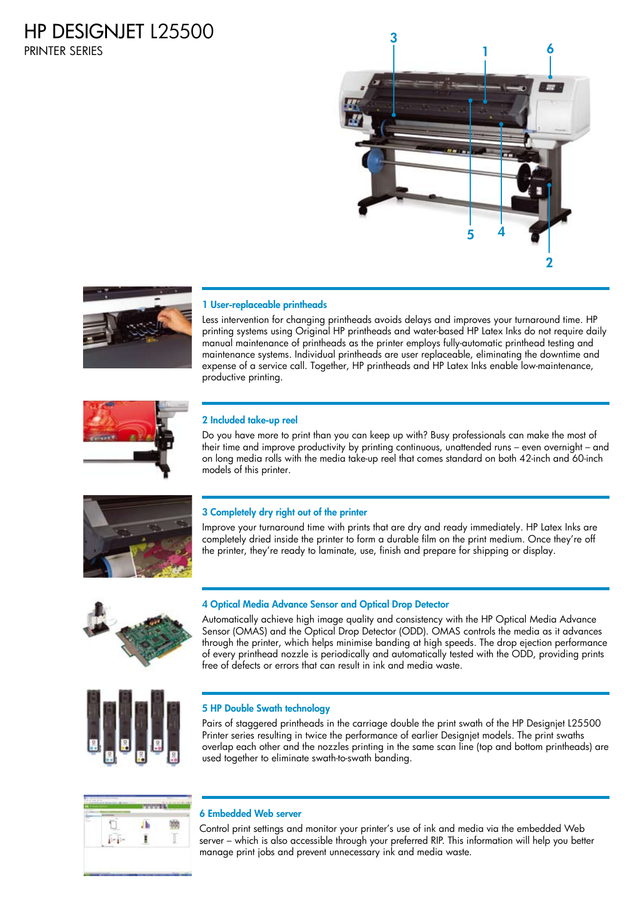# hp Designjet L25500

Printer series





### 1 User-replaceable printheads

Less intervention for changing printheads avoids delays and improves your turnaround time. HP printing systems using Original HP printheads and water-based HP Latex Inks do not require daily manual maintenance of printheads as the printer employs fully-automatic printhead testing and maintenance systems. Individual printheads are user replaceable, eliminating the downtime and expense of a service call. Together, HP printheads and HP Latex Inks enable low-maintenance, productive printing.



#### 2 Included take-up reel

Do you have more to print than you can keep up with? Busy professionals can make the most of their time and improve productivity by printing continuous, unattended runs – even overnight – and on long media rolls with the media take-up reel that comes standard on both 42-inch and 60-inch models of this printer.



#### 3 Completely dry right out of the printer

Improve your turnaround time with prints that are dry and ready immediately. HP Latex Inks are completely dried inside the printer to form a durable film on the print medium. Once they're off the printer, they're ready to laminate, use, finish and prepare for shipping or display.



#### 4 Optical Media Advance Sensor and Optical Drop Detector

Automatically achieve high image quality and consistency with the HP Optical Media Advance Sensor (OMAS) and the Optical Drop Detector (ODD). OMAS controls the media as it advances through the printer, which helps minimise banding at high speeds. The drop ejection performance of every printhead nozzle is periodically and automatically tested with the ODD, providing prints free of defects or errors that can result in ink and media waste.



#### 5 HP Double Swath technology

Pairs of staggered printheads in the carriage double the print swath of the HP Designjet L25500 Printer series resulting in twice the performance of earlier Designjet models. The print swaths overlap each other and the nozzles printing in the same scan line (top and bottom printheads) are used together to eliminate swath-to-swath banding.



#### 6 Embedded Web server

Control print settings and monitor your printer's use of ink and media via the embedded Web server – which is also accessible through your preferred RIP. This information will help you better manage print jobs and prevent unnecessary ink and media waste.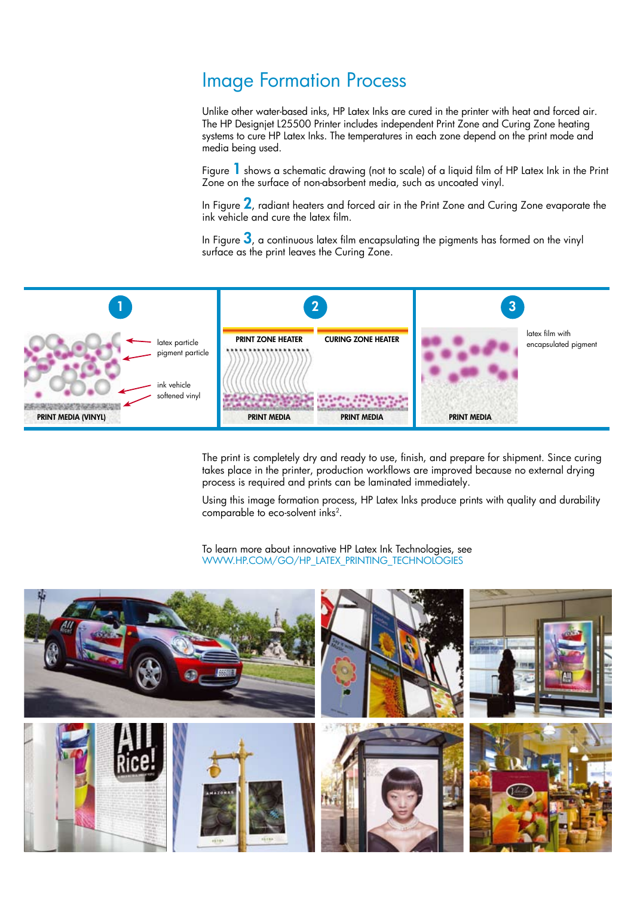## Image Formation Process

Unlike other water-based inks, HP Latex Inks are cured in the printer with heat and forced air. The HP Designjet L25500 Printer includes independent Print Zone and Curing Zone heating systems to cure HP Latex Inks. The temperatures in each zone depend on the print mode and media being used.

Figure 1 shows a schematic drawing (not to scale) of a liquid film of HP Latex Ink in the Print Zone on the surface of non-absorbent media, such as uncoated vinyl.

In Figure  $2$ , radiant heaters and forced air in the Print Zone and Curing Zone evaporate the ink vehicle and cure the latex film.

In Figure  $3$ , a continuous latex film encapsulating the pigments has formed on the vinyl surface as the print leaves the Curing Zone.



The print is completely dry and ready to use, finish, and prepare for shipment. Since curing takes place in the printer, production workflows are improved because no external drying process is required and prints can be laminated immediately.

Using this image formation process, HP Latex Inks produce prints with quality and durability comparable to eco-solvent inks<sup>2</sup> .

To learn more about innovative HP Latex Ink Technologies, see www.hp.com/go/hp\_latex\_printing\_technologies